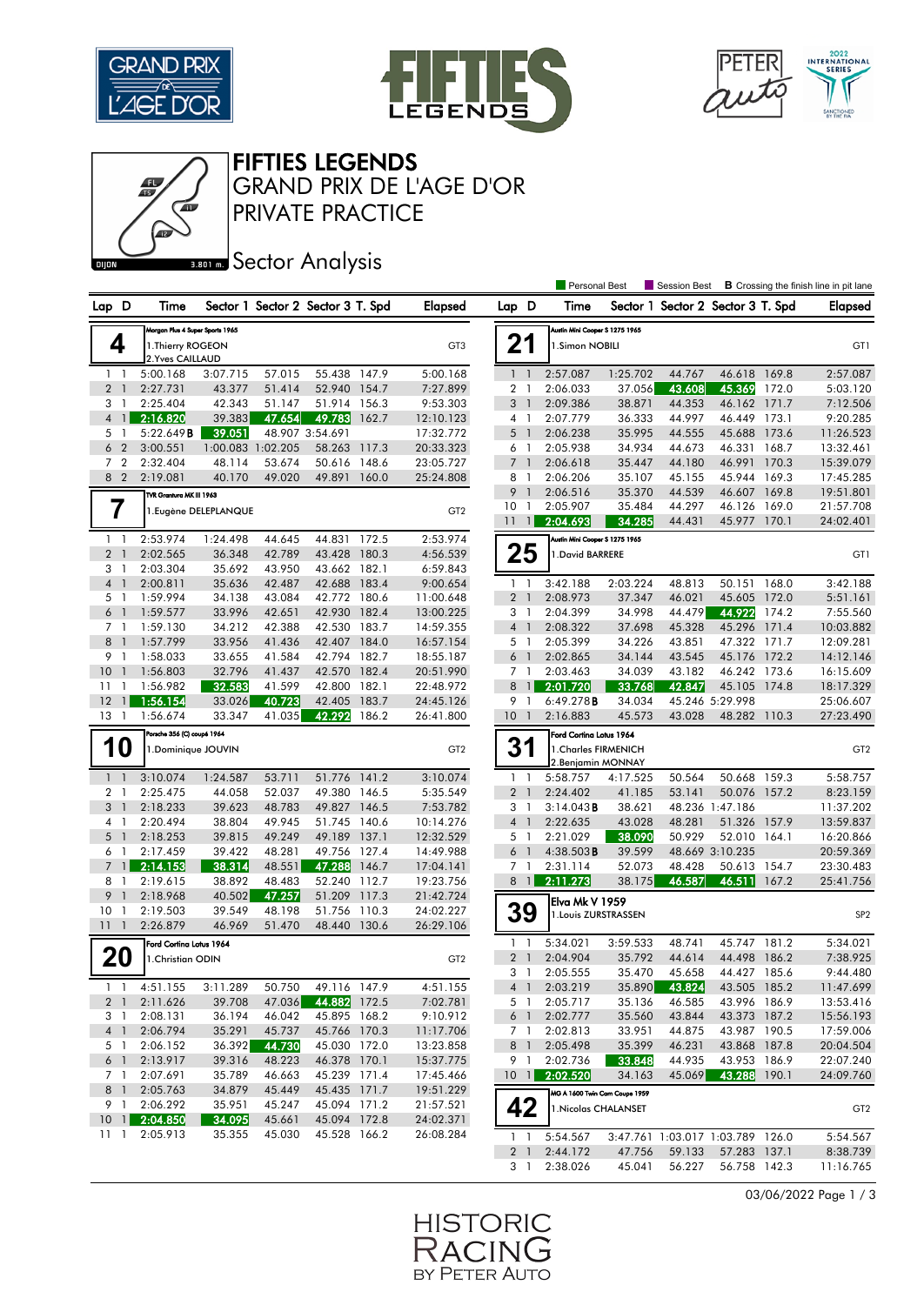

Œ





FIFTIES LEGENDS

PRIVATE PRACTICE GRAND PRIX DE L'AGE D'OR

## **BRONES** Sector Analysis

|                                |                                 |                       |        |                                   |       |                 |                      |              | Personal Best                  |          | Session Best                      |                 |       | <b>B</b> Crossing the finish line in pit lane |
|--------------------------------|---------------------------------|-----------------------|--------|-----------------------------------|-------|-----------------|----------------------|--------------|--------------------------------|----------|-----------------------------------|-----------------|-------|-----------------------------------------------|
| Lap D                          | Time                            |                       |        | Sector 1 Sector 2 Sector 3 T. Spd |       | <b>Elapsed</b>  | Lap D                |              | Time                           |          | Sector 1 Sector 2 Sector 3 T. Spd |                 |       | <b>Elapsed</b>                                |
|                                | Morgan Plus 4 Super Sports 1965 |                       |        |                                   |       |                 |                      |              | Austin Mini Cooper S 1275 1965 |          |                                   |                 |       |                                               |
| 4                              | 1. Thierry ROGEON               |                       |        |                                   |       | GT3             | 21                   |              | 1.Simon NOBILI                 |          |                                   |                 |       | GT1                                           |
|                                | 2. Yves CAILLAUD                |                       |        |                                   |       |                 |                      |              |                                |          |                                   |                 |       |                                               |
| $1\quad$                       | 5:00.168                        | 3:07.715              | 57.015 | 55.438 147.9                      |       | 5:00.168        | $1\quad$             |              | 2:57.087                       | 1:25.702 | 44.767                            | 46.618 169.8    |       | 2:57.087                                      |
| 2 <sub>1</sub>                 | 2:27.731                        | 43.377                | 51.414 | 52.940 154.7                      |       | 7:27.899        | 2 <sub>1</sub>       |              | 2:06.033                       | 37.056   | 43.608                            | 45.369          | 172.0 | 5:03.120                                      |
| 3<br>$\mathbf{1}$              | 2:25.404                        | 42.343                | 51.147 | 51.914 156.3                      |       | 9:53.303        | 3 <sup>1</sup>       |              | 2:09.386                       | 38.871   | 44.353                            | 46.162          | 171.7 | 7:12.506                                      |
| $\mathbf{1}$<br>$\overline{4}$ | 2:16.820                        | 39.383                | 47.654 | 49.783                            | 162.7 | 12:10.123       | 4 1                  |              | 2:07.779                       | 36.333   | 44.997                            | 46.449          | 173.1 | 9:20.285                                      |
| 5 1                            | 5:22.649B                       | 39.051                |        | 48.907 3:54.691                   |       | 17:32.772       | 5 <sub>1</sub>       |              | 2:06.238                       | 35.995   | 44.555                            | 45.688 173.6    |       | 11:26.523                                     |
| 6 <sub>2</sub>                 | 3:00.551                        | 1:00.083 1:02.205     |        | 58.263                            | 117.3 | 20:33.323       | 6 1                  |              | 2:05.938                       | 34.934   | 44.673                            | 46.331          | 168.7 | 13:32.461                                     |
| 7 <sub>2</sub>                 | 2:32.404                        | 48.114                | 53.674 | 50.616 148.6                      |       | 23:05.727       | 7 <sub>1</sub>       |              | 2:06.618                       | 35.447   | 44.180                            | 46.991 170.3    |       | 15:39.079                                     |
| 8 2                            | 2:19.081                        | 40.170                | 49.020 | 49.891                            | 160.0 | 25:24.808       | 8 1                  |              | 2:06.206                       | 35.107   | 45.155                            | 45.944 169.3    |       | 17:45.285                                     |
|                                | TVR Grantura MK III 1963        |                       |        |                                   |       |                 |                      | 9 1          | 2:06.516                       | 35.370   | 44.539                            | 46.607          | 169.8 | 19:51.801                                     |
| 7                              |                                 | 1. Eugène DELEPLANQUE |        |                                   |       | GT <sub>2</sub> | 10 <sub>1</sub>      |              | 2:05.907                       | 35.484   | 44.297                            | 46.126 169.0    |       | 21:57.708                                     |
|                                |                                 |                       |        |                                   |       |                 | 11                   | $\mathbf{1}$ | 2:04.693                       | 34.285   | 44.431                            | 45.977          | 170.1 | 24:02.401                                     |
| $1\quad$                       | 2:53.974                        | 1:24.498              | 44.645 | 44.831                            | 172.5 | 2:53.974        |                      |              | Austin Mini Cooper S 1275 1965 |          |                                   |                 |       |                                               |
| 2 <sub>1</sub>                 | 2:02.565                        | 36.348                | 42.789 | 43.428 180.3                      |       | 4:56.539        |                      | 25           | 1. David BARRERE               |          |                                   |                 |       | GT1                                           |
| 3 1                            | 2:03.304                        | 35.692                | 43.950 | 43.662 182.1                      |       | 6:59.843        |                      |              |                                |          |                                   |                 |       |                                               |
| 4 1                            | 2:00.811                        | 35.636                | 42.487 | 42.688 183.4                      |       | 9:00.654        | $1\quad$             |              | 3:42.188                       | 2:03.224 | 48.813                            | 50.151 168.0    |       | 3:42.188                                      |
| 5 <sub>1</sub>                 | 1:59.994                        | 34.138                | 43.084 | 42.772 180.6                      |       | 11:00.648       | 2 <sub>1</sub>       |              | 2:08.973                       | 37.347   | 46.021                            | 45.605 172.0    |       | 5:51.161                                      |
| 6 <sup>1</sup>                 | 1:59.577                        | 33.996                | 42.651 | 42.930 182.4                      |       | 13:00.225       | 3 1                  |              | 2:04.399                       | 34.998   | 44.479                            | 44.922          | 174.2 | 7:55.560                                      |
| 7 <sub>1</sub>                 | 1:59.130                        | 34.212                | 42.388 | 42.530 183.7                      |       | 14:59.355       | 4 1                  |              | 2:08.322                       | 37.698   | 45.328                            | 45.296 171.4    |       | 10:03.882                                     |
| 8 <sup>1</sup>                 | 1:57.799                        | 33.956                | 41.436 | 42.407 184.0                      |       | 16:57.154       | 5 <sub>1</sub>       |              | 2:05.399                       | 34.226   | 43.851                            | 47.322 171.7    |       | 12:09.281                                     |
| 9 1                            | 1:58.033                        | 33.655                | 41.584 | 42.794 182.7                      |       | 18:55.187       |                      | 6 1          | 2:02.865                       | 34.144   | 43.545                            | 45.176 172.2    |       | 14:12.146                                     |
| 10 <sub>1</sub>                | 1:56.803                        | 32.796                | 41.437 | 42.570 182.4                      |       | 20:51.990       | 7 1                  |              | 2:03.463                       | 34.039   | 43.182                            | 46.242 173.6    |       | 16:15.609                                     |
| 11<br>$\mathbf{1}$             | 1:56.982                        | 32.583                | 41.599 | 42.800 182.1                      |       | 22:48.972       |                      | $8$ 1        | 2:01.720                       | 33.768   | 42.847                            | 45.105 174.8    |       | 18:17.329                                     |
| 12<br>$\mathbf{1}$             | 1:56.154                        | 33.026                | 40.723 | 42.405                            | 183.7 | 24:45.126       | 9 1                  |              | 6:49.278B                      | 34.034   |                                   | 45.246 5:29.998 |       | 25:06.607                                     |
| 13 1                           | 1:56.674                        | 33.347                | 41.035 | 42.292                            | 186.2 | 26:41.800       | $10-1$               |              | 2:16.883                       | 45.573   | 43.028                            | 48.282 110.3    |       | 27:23.490                                     |
| Porsche 356 (C) coupé 1964     |                                 |                       |        |                                   |       |                 |                      |              | Ford Cortina Lotus 1964        |          |                                   |                 |       |                                               |
| 10<br>1. Dominique JOUVIN      |                                 |                       |        | GT <sub>2</sub>                   | 31    |                 | 1. Charles FIRMENICH |              |                                |          |                                   | GT <sub>2</sub> |       |                                               |
|                                |                                 |                       |        |                                   |       |                 |                      |              | 2. Benjamin MONNAY             |          |                                   |                 |       |                                               |
| 1 <sub>1</sub>                 | 3:10.074                        | 1:24.587              | 53.711 | 51.776 141.2                      |       | 3:10.074        | $1\quad$             |              | 5:58.757                       | 4:17.525 | 50.564                            | 50.668 159.3    |       | 5:58.757                                      |
| $\overline{2}$<br>-1           | 2:25.475                        | 44.058                | 52.037 | 49.380                            | 146.5 | 5:35.549        | 2 <sub>1</sub>       |              | 2:24.402                       | 41.185   | 53.141                            | 50.076 157.2    |       | 8:23.159                                      |
| 3 <sup>1</sup>                 | 2:18.233                        | 39.623                | 48.783 | 49.827 146.5                      |       | 7:53.782        | 3 1                  |              | $3:14.043$ <b>B</b>            | 38.621   |                                   | 48.236 1:47.186 |       | 11:37.202                                     |
| 4 1                            | 2:20.494                        | 38.804                | 49.945 | 51.745                            | 140.6 | 10:14.276       | $4-1$                |              | 2:22.635                       | 43.028   | 48.281                            | 51.326 157.9    |       | 13:59.837                                     |
| 5 <sub>1</sub>                 | 2:18.253                        | 39.815                | 49.249 | 49.189 137.1                      |       | 12:32.529       | 5 <sub>1</sub>       |              | 2:21.029                       | 38.090   | 50.929                            | 52.010          | 164.1 | 16:20.866                                     |
| 6 1                            | 2:17.459                        | 39.422                | 48.281 | 49.756 127.4                      |       | 14:49.988       | $6-1$                |              | 4:38.503B                      | 39.599   |                                   | 48.669 3:10.235 |       | 20:59.369                                     |
| $7 \text{ } 1$                 | 2:14.153                        | 38.314                | 48.551 | 47.288                            | 146.7 | 17:04.141       | 7 <sub>1</sub>       |              | 2:31.114                       | 52.073   | 48.428                            | 50.613 154.7    |       | 23:30.483                                     |
| 8<br>$\mathbf{1}$              | 2:19.615                        | 38.892                | 48.483 | 52.240 112.7                      |       | 19:23.756       |                      | 8 1          | 2:11.273                       | 38.175   | 46.587                            | 46.511          | 167.2 | 25:41.756                                     |
| 9<br>$\overline{1}$            | 2:18.968                        | 40.502                | 47.257 | 51.209                            | 117.3 | 21:42.724       |                      |              | lElva Mk V 1959                |          |                                   |                 |       |                                               |
| 10<br>$\mathbf{1}$             | 2:19.503                        | 39.549                | 48.198 | 51.756                            | 110.3 | 24:02.227       |                      | <b>39</b>    | 1. Louis ZURSTRASSEN           |          |                                   |                 |       | SP <sub>2</sub>                               |
| 1111                           | 2:26.879                        | 46.969                | 51.470 | 48.440 130.6                      |       | 26:29.106       |                      |              |                                |          |                                   |                 |       |                                               |
|                                | Ford Cortina Lotus 1964         |                       |        |                                   |       |                 | 1                    | -1           | 5:34.021                       | 3:59.533 | 48.741                            | 45.747          | 181.2 | 5:34.021                                      |
| <b>20</b>                      | 1. Christian ODIN               |                       |        |                                   |       | GT <sub>2</sub> | 2 <sub>1</sub>       |              | 2:04.904                       | 35.792   | 44.614                            | 44.498 186.2    |       | 7:38.925                                      |
|                                |                                 |                       |        |                                   |       |                 | 3 1                  |              | 2:05.555                       | 35.470   | 45.658                            | 44.427 185.6    |       | 9:44.480                                      |
| $1\quad1$                      | 4:51.155                        | 3:11.289              | 50.750 | 49.116 147.9                      |       | 4:51.155        |                      |              | 4 1 2:03.219                   | 35.890   | 43.824                            | 43.505 185.2    |       | 11:47.699                                     |
| 2 <sub>1</sub>                 | 2:11.626                        | 39.708                | 47.036 | 44.882 172.5                      |       | 7:02.781        |                      | 5 1          | 2:05.717                       | 35.136   | 46.585                            | 43.996 186.9    |       | 13:53.416                                     |
| 3 1                            | 2:08.131                        | 36.194                | 46.042 | 45.895 168.2                      |       | 9:10.912        |                      | 6 1          | 2:02.777                       | 35.560   | 43.844                            | 43.373 187.2    |       | 15:56.193                                     |
| 4 <sup>1</sup>                 | 2:06.794                        | 35.291                | 45.737 | 45.766 170.3                      |       | 11:17.706       |                      | 7 1          | 2:02.813                       | 33.951   | 44.875                            | 43.987 190.5    |       | 17:59.006                                     |
| 5 1                            | 2:06.152                        | 36.392                | 44.730 | 45.030 172.0                      |       | 13:23.858       |                      | 8 1          | 2:05.498                       | 35.399   | 46.231                            | 43.868 187.8    |       | 20:04.504                                     |
| 6 <sup>1</sup>                 | 2:13.917                        | 39.316                | 48.223 | 46.378 170.1                      |       | 15:37.775       | 9 1                  |              | 2:02.736                       | 33.848   | 44.935                            | 43.953 186.9    |       | 22:07.240                                     |
| 7 1                            | 2:07.691                        | 35.789                | 46.663 | 45.239 171.4                      |       | 17:45.466       | $10 \quad 1$         |              | 2:02.520                       | 34.163   | 45.069                            | 43.288 190.1    |       | 24:09.760                                     |
| 8 <sup>1</sup>                 | 2:05.763                        | 34.879                | 45.449 | 45.435 171.7                      |       | 19:51.229       |                      |              | MG A 1600 Twin Cam Coupe 1959  |          |                                   |                 |       |                                               |
| 9 1                            | 2:06.292                        | 35.951                | 45.247 | 45.094 171.2                      |       | 21:57.521       |                      | 42           | 1. Nicolas CHALANSET           |          |                                   |                 |       | GT <sub>2</sub>                               |
|                                | 10 1 2:04.850                   | 34.095                | 45.661 | 45.094 172.8                      |       | 24:02.371       |                      |              |                                |          |                                   |                 |       |                                               |
| 11 1                           | 2:05.913                        | 35.355                | 45.030 | 45.528 166.2                      |       | 26:08.284       | 1 <sup>1</sup>       |              | 5:54.567                       |          | 3:47.761 1:03.017 1:03.789 126.0  |                 |       | 5:54.567                                      |
|                                |                                 |                       |        |                                   |       |                 | 2 <sub>1</sub>       |              | 2:44.172                       | 47.756   | 59.133                            | 57.283 137.1    |       | 8:38.739                                      |

03/06/2022 Page 1 / 3

3 1 2:38.026 45.041 56.227 56.758 142.3 11:16.765

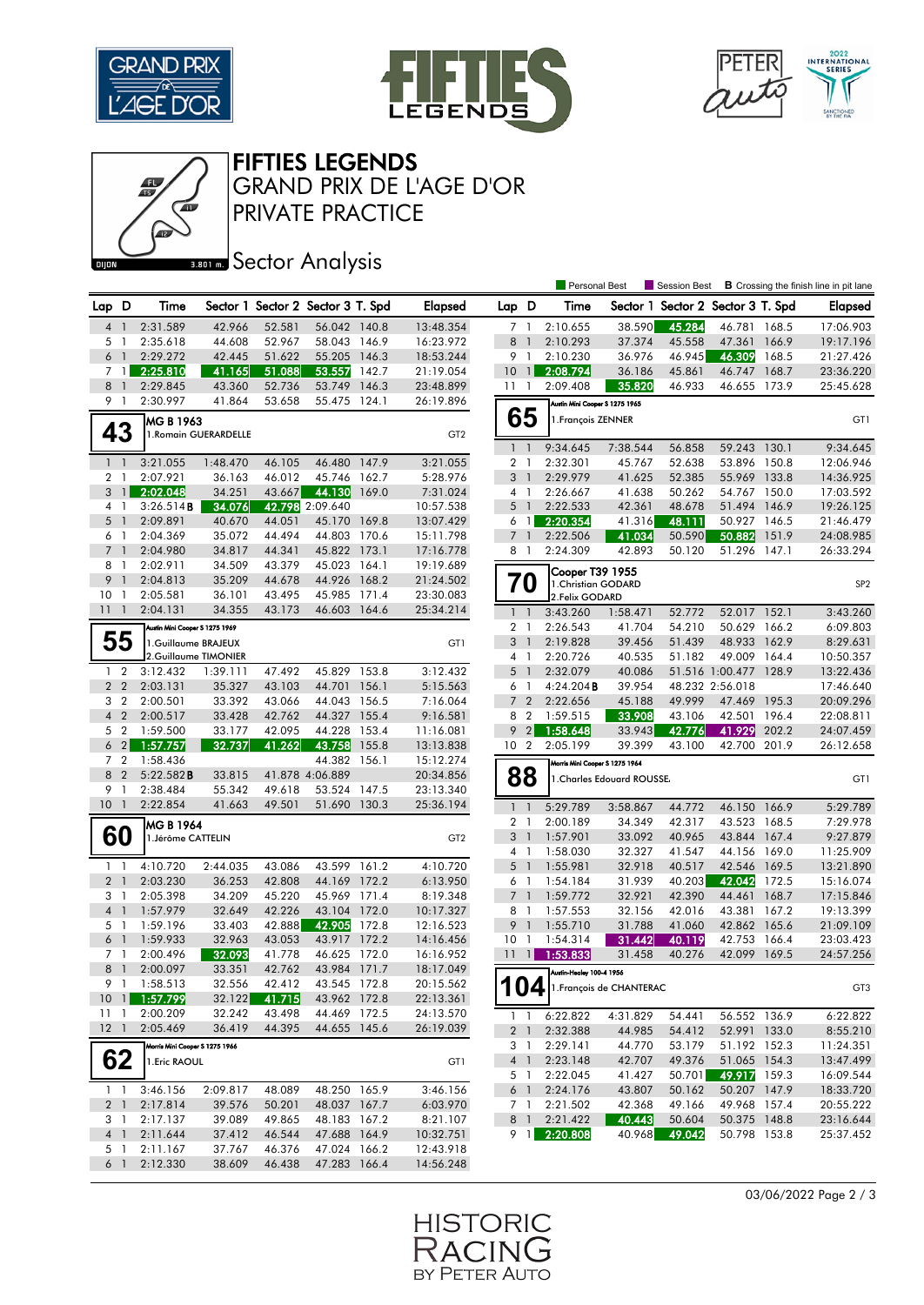

Œ







PRIVATE PRACTICE GRAND PRIX DE L'AGE D'OR

## **BRONES** Sector Analysis

|                 |                                  |                                 |                       |        |                                   |       |                        |                 |                | Personal Best                    |                            | Session Best                      |                       |       | <b>B</b> Crossing the finish line in pit lane |
|-----------------|----------------------------------|---------------------------------|-----------------------|--------|-----------------------------------|-------|------------------------|-----------------|----------------|----------------------------------|----------------------------|-----------------------------------|-----------------------|-------|-----------------------------------------------|
| Lap D           |                                  | Time                            |                       |        | Sector 1 Sector 2 Sector 3 T. Spd |       | <b>Elapsed</b>         | Lap D           |                | Time                             |                            | Sector 1 Sector 2 Sector 3 T. Spd |                       |       | <b>Elapsed</b>                                |
| 4               | $\mathbf{1}$                     | 2:31.589                        | 42.966                | 52.581 | 56.042 140.8                      |       | 13:48.354              |                 | 71             | 2:10.655                         | 38.590                     | 45.284                            | 46.781 168.5          |       | 17:06.903                                     |
| 5               | $\overline{1}$                   | 2:35.618                        | 44.608                | 52.967 | 58.043 146.9                      |       | 16:23.972              | 8               | $\overline{1}$ | 2:10.293                         | 37.374                     | 45.558                            | 47.361                | 166.9 | 19:17.196                                     |
| $6-1$           |                                  | 2:29.272                        | 42.445                | 51.622 | 55.205                            | 146.3 | 18:53.244              |                 | 9 1            | 2:10.230                         | 36.976                     | 46.945                            | 46.309                | 168.5 | 21:27.426                                     |
|                 | $7 \quad 1$                      | 2:25.810                        | 41.165                | 51.088 | 53.557                            | 142.7 | 21:19.054              | 10              | $\vert$ 1      | 2:08.794                         | 36.186                     | 45.861                            | 46.747                | 168.7 | 23:36.220                                     |
| 8               | $\overline{1}$                   | 2:29.845                        | 43.360                | 52.736 | 53.749 146.3                      |       | 23:48.899              | 111             |                | 2:09.408                         | 35.820                     | 46.933                            | 46.655 173.9          |       | 25:45.628                                     |
| 9               | $\overline{1}$                   | 2:30.997                        | 41.864                | 53.658 | 55.475 124.1                      |       | 26:19.896              |                 |                | Austin Mini Cooper S 1275 1965   |                            |                                   |                       |       |                                               |
|                 |                                  | MG B 1963                       |                       |        |                                   |       |                        |                 | 65             | 1. François ZENNER               |                            |                                   |                       |       | GT1                                           |
| 43              |                                  |                                 | 1. Romain GUERARDELLE |        |                                   |       | GT <sub>2</sub>        |                 |                |                                  |                            |                                   |                       |       |                                               |
|                 |                                  |                                 |                       |        |                                   |       |                        | $\mathbf{1}$    | $\overline{1}$ | 9:34.645                         | 7:38.544                   | 56.858                            | 59.243                | 130.1 | 9:34.645                                      |
| $1 \quad 1$     |                                  | 3:21.055                        | 1:48.470              | 46.105 | 46.480 147.9                      |       | 3:21.055               |                 | 2 <sub>1</sub> | 2:32.301                         | 45.767                     | 52.638                            | 53.896 150.8          |       | 12:06.946                                     |
| $\overline{2}$  | $\overline{1}$                   | 2:07.921                        | 36.163                | 46.012 | 45.746                            | 162.7 | 5:28.976               |                 | 3 <sup>1</sup> | 2:29.979                         | 41.625                     | 52.385                            | 55.969                | 133.8 | 14:36.925                                     |
|                 | $3 \mid$                         | 2:02.048                        | 34.251                | 43.667 | 44.130                            | 169.0 | 7:31.024               |                 | 4 1            | 2:26.667                         | 41.638                     | 50.262                            | 54.767                | 150.0 | 17:03.592                                     |
| 4 1             |                                  | 3:26.514B                       | 34.076                |        | 42.798 2:09.640                   |       | 10:57.538              | 5               | $\overline{1}$ | 2:22.533                         | 42.361                     | 48.678                            | 51.494 146.9          |       | 19:26.125                                     |
| 5               | $\overline{1}$                   | 2:09.891                        | 40.670                | 44.051 | 45.170 169.8                      |       | 13:07.429              | 6               | $\overline{1}$ | 2:20.354                         | 41.316                     | 48.111                            | 50.927 146.5          |       | 21:46.479                                     |
| 6 1             |                                  | 2:04.369                        | 35.072                | 44.494 | 44.803 170.6                      |       | 15:11.798              |                 | 7 <sup>1</sup> | 2:22.506                         | 41.034                     | 50.590                            | 50.882                | 151.9 | 24:08.985                                     |
| $\overline{7}$  | $\overline{1}$                   | 2:04.980                        | 34.817                | 44.341 | 45.822 173.1                      |       | 17:16.778              |                 | 8 1            | 2:24.309                         | 42.893                     | 50.120                            | 51.296                | 147.1 | 26:33.294                                     |
| 8               | $\overline{1}$                   | 2:02.911                        | 34.509                | 43.379 | 45.023 164.1                      |       | 19:19.689              |                 |                | Cooper T39 1955                  |                            |                                   |                       |       |                                               |
| 9               | $\overline{1}$                   | 2:04.813                        | 35.209                | 44.678 | 44.926 168.2                      |       | 21:24.502              |                 | 70             | 1. Christian GODARD              |                            |                                   |                       |       | SP <sub>2</sub>                               |
| 10              | $\overline{1}$                   | 2:05.581                        | 36.101                | 43.495 | 45.985 171.4                      |       | 23:30.083              |                 |                | 2. Felix GODARD                  |                            |                                   |                       |       |                                               |
| $11-1$          |                                  | 2:04.131                        | 34.355                | 43.173 | 46.603 164.6                      |       | 25:34.214              |                 | $1\quad$       | 3:43.260                         | 1:58.471                   | 52.772                            | 52.017 152.1          |       | 3:43.260                                      |
|                 |                                  | Austin Mini Cooper S 1275 1969  |                       |        |                                   |       |                        | $\overline{2}$  | $\overline{1}$ | 2:26.543                         | 41.704                     | 54.210                            | 50.629                | 166.2 | 6:09.803                                      |
|                 | 55                               | 1.Guillaume BRAJEUX             |                       |        |                                   |       | GT1                    | 3               | $\overline{1}$ | 2:19.828                         | 39.456                     | 51.439                            | 48.933                | 162.9 | 8:29.631                                      |
|                 |                                  | 2.Guillaume TIMONIER            |                       |        |                                   |       |                        |                 | 4 1            | 2:20.726                         | 40.535                     | 51.182                            | 49.009 164.4          |       | 10:50.357                                     |
| $\mathbf{1}$    | $\overline{2}$                   | 3:12.432                        | 1:39.111              | 47.492 | 45.829 153.8                      |       | 3:12.432               |                 | 5 <sub>1</sub> | 2:32.079                         | 40.086                     |                                   | 51.516 1:00.477 128.9 |       | 13:22.436                                     |
| 2 <sub>2</sub>  |                                  | 2:03.131                        | 35.327                | 43.103 | 44.701                            | 156.1 | 5:15.563               |                 | 6 1            | 4:24.204B                        | 39.954                     |                                   | 48.232 2:56.018       |       | 17:46.640                                     |
| 3               | $\overline{2}$                   | 2:00.501                        | 33.392                | 43.066 | 44.043 156.5                      |       | 7:16.064               |                 | 7 <sub>2</sub> | 2:22.656                         | 45.188                     | 49.999                            | 47.469 195.3          |       | 20:09.296                                     |
| $\overline{4}$  | $\overline{2}$                   | 2:00.517                        | 33.428                | 42.762 | 44.327 155.4                      |       | 9:16.581               | 8               | $\overline{2}$ | 1:59.515                         | 33.908                     | 43.106                            | 42.501                | 196.4 | 22:08.811                                     |
| 5 <sub>2</sub>  |                                  | 1:59.500                        | 33.177                | 42.095 | 44.228 153.4                      |       | 11:16.081              | 9               | $\overline{2}$ | 1:58.648                         | 33.943                     | 42.776                            | 41.929                | 202.2 | 24:07.459                                     |
| 6               | $\overline{2}$<br>7 <sub>2</sub> | 1:57.757<br>1:58.436            | 32.737                | 41.262 | 43.758<br>44.382 156.1            | 155.8 | 13:13.838<br>15:12.274 | 10 <sub>2</sub> |                | 2:05.199                         | 39.399                     | 43.100                            | 42.700                | 201.9 | 26:12.658                                     |
| 8 <sub>2</sub>  |                                  | 5:22.582B                       | 33.815                |        | 41.878 4:06.889                   |       | 20:34.856              |                 |                | Morris Mini Cooper S 1275 1964   |                            |                                   |                       |       |                                               |
| 9               | $\overline{1}$                   | 2:38.484                        | 55.342                | 49.618 | 53.524 147.5                      |       | 23:13.340              |                 | 88             |                                  | 1. Charles Edouard ROUSSE. |                                   |                       |       | GT1                                           |
| 10 <sup>°</sup> | $\overline{1}$                   | 2:22.854                        | 41.663                | 49.501 | 51.690 130.3                      |       | 25:36.194              |                 | $1\quad$       | 5:29.789                         | 3:58.867                   | 44.772                            | 46.150 166.9          |       | 5:29.789                                      |
|                 |                                  |                                 |                       |        |                                   |       |                        |                 | 2 <sub>1</sub> | 2:00.189                         | 34.349                     | 42.317                            | 43.523                | 168.5 | 7:29.978                                      |
|                 | 60                               | MG B 1964<br>1. Jérôme CATTELIN |                       |        |                                   |       | GT <sub>2</sub>        | 3               | $\overline{1}$ | 1:57.901                         | 33.092                     | 40.965                            | 43.844 167.4          |       | 9:27.879                                      |
|                 |                                  |                                 |                       |        |                                   |       |                        |                 | 4 1            | 1:58.030                         | 32.327                     | 41.547                            | 44.156 169.0          |       | 11:25.909                                     |
| $1\quad$        |                                  | 4:10.720                        | 2:44.035              | 43.086 | 43.599 161.2                      |       | 4:10.720               |                 | 5 <sub>1</sub> | 1:55.981                         | 32.918                     | 40.517                            | 42.546 169.5          |       | 13:21.890                                     |
| 2 <sub>1</sub>  |                                  | 2:03.230                        | 36.253                | 42.808 | 44.169 172.2                      |       | 6:13.950               |                 | 6 1            | 1:54.184                         | 31.939                     | 40.203                            | 42.042                | 172.5 | 15:16.074                                     |
| 3 1             |                                  | 2:05.398                        | 34.209                | 45.220 | 45.969 171.4                      |       | 8:19.348               |                 | 7 <sup>1</sup> | 1:59.772                         | 32.921                     | 42.390                            | 44.461                | 168.7 | 17:15.846                                     |
| 4 <sup>1</sup>  |                                  | 1:57.979                        | 32.649                | 42.226 | 43.104 172.0                      |       | 10:17.327              |                 | $8-1$          | 1:57.553                         | 32.156                     | 42.016                            | 43.381                | 167.2 | 19:13.399                                     |
| 5 1             |                                  | 1:59.196                        | 33.403                | 42.888 | 42.905                            | 172.8 | 12:16.523              |                 | 9 <sub>1</sub> | 1:55.710                         | 31.788                     | 41.060                            | 42.862 165.6          |       | 21:09.109                                     |
| 6 <sup>1</sup>  |                                  | 1:59.933                        | 32.963                | 43.053 | 43.917                            | 172.2 | 14:16.456              | 10              | $\overline{1}$ | 1:54.314                         | 31.442                     | 40.119                            | 42.753                | 166.4 | 23:03.423                                     |
| 7 1             |                                  | 2:00.496                        | 32.093                | 41.778 | 46.625 172.0                      |       | 16:16.952              | 11              | $\mathbf{1}$   | 1:53.833                         | 31.458                     | 40.276                            | 42.099                | 169.5 | 24:57.256                                     |
| 8               | $\overline{1}$                   | 2:00.097                        | 33.351                | 42.762 | 43.984 171.7                      |       | 18:17.049              |                 |                | Austin-Healey 100-4 1956         |                            |                                   |                       |       |                                               |
|                 |                                  | 9 1 1:58.513                    | 32.556                | 42.412 | 43.545 172.8                      |       | 20:15.562              |                 |                | $104$   1. François de CHANTERAC |                            |                                   |                       |       | GT3                                           |
| 101             |                                  | 1:57.799                        | 32.122                | 41.715 | 43.962 172.8                      |       | 22:13.361              |                 |                |                                  |                            |                                   |                       |       |                                               |
| $11 \quad 1$    |                                  | 2:00.209                        | 32.242                | 43.498 | 44.469 172.5                      |       | 24:13.570              |                 | $1\quad1$      | 6:22.822                         | 4:31.829                   | 54.441                            | 56.552 136.9          |       | 6:22.822                                      |
|                 | $12-1$                           | 2:05.469                        | 36.419                | 44.395 | 44.655 145.6                      |       | 26:19.039              |                 | 2 <sub>1</sub> | 2:32.388                         | 44.985                     | 54.412                            | 52.991 133.0          |       | 8:55.210                                      |
|                 |                                  | Morris Mini Cooper S 1275 1966  |                       |        |                                   |       |                        |                 | 3 1            | 2:29.141                         | 44.770                     | 53.179                            | 51.192 152.3          |       | 11:24.351                                     |
|                 | 62                               | 1. Eric RAOUL                   |                       |        |                                   |       | GT1                    |                 | 4 1            | 2:23.148                         | 42.707                     | 49.376                            | 51.065 154.3          |       | 13:47.499                                     |
|                 |                                  |                                 |                       |        |                                   |       |                        |                 | 5 1            | 2:22.045                         | 41.427                     | 50.701                            | 49.917 159.3          |       | 16:09.544                                     |
|                 | $1\quad1$                        | 3:46.156                        | 2:09.817              | 48.089 | 48.250 165.9                      |       | 3:46.156               |                 | 6 <sup>1</sup> | 2:24.176                         | 43.807                     | 50.162                            | 50.207 147.9          |       | 18:33.720                                     |
| 2 <sub>1</sub>  |                                  | 2:17.814                        | 39.576                | 50.201 | 48.037 167.7                      |       | 6:03.970               |                 | 7 1            | 2:21.502                         | 42.368                     | 49.166                            | 49.968 157.4          |       | 20:55.222                                     |
|                 | 3 1                              | 2:17.137                        | 39.089                | 49.865 | 48.183 167.2                      |       | 8:21.107               |                 | 8 1            | 2:21.422                         | 40.443                     | 50.604                            | 50.375 148.8          |       | 23:16.644                                     |
|                 | 4 1                              | 2:11.644                        | 37.412                | 46.544 | 47.688 164.9                      |       | 10:32.751              |                 | 9 1            | 2:20.808                         | 40.968                     | 49.042                            | 50.798 153.8          |       | 25:37.452                                     |
|                 | 5 1                              | 2:11.167                        | 37.767                | 46.376 | 47.024 166.2                      |       | 12:43.918              |                 |                |                                  |                            |                                   |                       |       |                                               |
|                 | 6 1                              | 2:12.330                        | 38.609                | 46.438 | 47.283 166.4                      |       | 14:56.248              |                 |                |                                  |                            |                                   |                       |       |                                               |